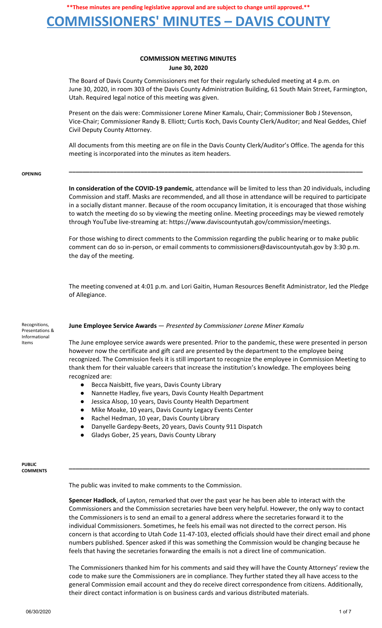## **COMMISSIONERS' MINUTES – DAVIS COUNTY**

### **COMMISSION MEETING MINUTES June 30, 2020**

The Board of Davis County Commissioners met for their regularly scheduled meeting at 4 p.m. on June 30, 2020, in room 303 of the Davis County Administration Building, 61 South Main Street, Farmington, Utah. Required legal notice of this meeting was given.

Present on the dais were: Commissioner Lorene Miner Kamalu, Chair; Commissioner Bob J Stevenson, Vice-Chair; Commissioner Randy B. Elliott; Curtis Koch, Davis County Clerk/Auditor; and Neal Geddes, Chief Civil Deputy County Attorney.

All documents from this meeting are on file in the Davis County Clerk/Auditor's Office. The agenda for this meeting is incorporated into the minutes as item headers.

**\_\_\_\_\_\_\_\_\_\_\_\_\_\_\_\_\_\_\_\_\_\_\_\_\_\_\_\_\_\_\_\_\_\_\_\_\_\_\_\_\_\_\_\_\_\_\_\_\_\_\_\_\_\_\_\_\_\_\_\_\_\_\_\_\_\_\_\_\_\_\_\_\_\_\_\_\_\_\_\_\_\_\_\_\_\_**

#### **OPENING**

**In consideration of the COVID-19 pandemic**, attendance will be limited to less than 20 individuals, including Commission and staff. Masks are recommended, and all those in attendance will be required to participate in a socially distant manner. Because of the room occupancy limitation, it is encouraged that those wishing to watch the meeting do so by viewing the meeting online. Meeting proceedings may be viewed remotely through YouTube live-streaming at: https://www.daviscountyutah.gov/commission/meetings.

For those wishing to direct comments to the Commission regarding the public hearing or to make public comment can do so in-person, or email comments to commissioners@daviscountyutah.gov by 3:30 p.m. the day of the meeting.

The meeting convened at 4:01 p.m. and Lori Gaitin, Human Resources Benefit Administrator, led the Pledge of Allegiance.

#### **June Employee Service Awards** — *Presented by Commissioner Lorene Miner Kamalu*

Recognitions, Presentations & Informational Items

The June employee service awards were presented. Prior to the pandemic, these were presented in person however now the certificate and gift card are presented by the department to the employee being recognized. The Commission feels it is still important to recognize the employee in Commission Meeting to thank them for their valuable careers that increase the institution's knowledge. The employees being recognized are:

- Becca Naisbitt, five years, Davis County Library
- Nannette Hadley, five years, Davis County Health Department
- Jessica Alsop, 10 years, Davis County Health Department
- Mike Moake, 10 years, Davis County Legacy Events Center
- Rachel Hedman, 10 year, Davis County Library
- Danyelle Gardepy-Beets, 20 years, Davis County 911 Dispatch
- Gladys Gober, 25 years, Davis County Library

**PUBLIC COMMENTS**

The public was invited to make comments to the Commission.

**Spencer Hadlock**, of Layton, remarked that over the past year he has been able to interact with the Commissioners and the Commission secretaries have been very helpful. However, the only way to contact the Commissioners is to send an email to a general address where the secretaries forward it to the individual Commissioners. Sometimes, he feels his email was not directed to the correct person. His concern is that according to Utah Code 11-47-103, elected officials should have their direct email and phone numbers published. Spencer asked if this was something the Commission would be changing because he feels that having the secretaries forwarding the emails is not a direct line of communication.

**\_\_\_\_\_\_\_\_\_\_\_\_\_\_\_\_\_\_\_\_\_\_\_\_\_\_\_\_\_\_\_\_\_\_\_\_\_\_\_\_\_\_\_\_\_\_\_\_\_\_\_\_\_\_\_\_\_\_\_\_\_\_\_\_\_\_\_\_\_\_\_\_\_\_\_\_\_\_\_\_\_\_\_\_\_\_\_\_**

The Commissioners thanked him for his comments and said they will have the County Attorneys' review the code to make sure the Commissioners are in compliance. They further stated they all have access to the general Commission email account and they do receive direct correspondence from citizens. Additionally, their direct contact information is on business cards and various distributed materials.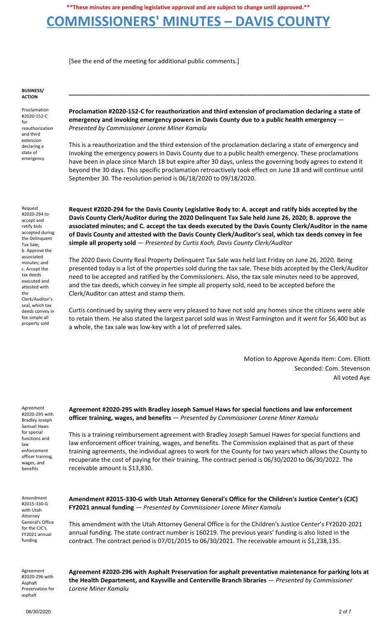## **COMMISSIONERS' MINUTES – DAVIS COUNTY**

[See the end of the meeting for additional public comments.]

**BUSINESS/ ACTION**

Proclamation #2020-152-C for reauthorization and third extension declaring a state of emergency

**Proclamation #2020-152-C for reauthorization and third extension of proclamation declaring a state of emergency and invoking emergency powers in Davis County due to a public health emergency** — *Presented by Commissioner Lorene Miner Kamalu*

**\_\_\_\_\_\_\_\_\_\_\_\_\_\_\_\_\_\_\_\_\_\_\_\_\_\_\_\_\_\_\_\_\_\_\_\_\_\_\_\_\_\_\_\_\_\_\_\_\_\_\_\_\_\_\_\_\_\_\_\_\_\_\_\_\_\_\_\_\_\_\_\_\_\_\_\_\_\_\_\_\_\_\_\_\_\_\_\_**

This is a reauthorization and the third extension of the proclamation declaring a state of emergency and invoking the emergency powers in Davis County due to a public health emergency. These proclamations have been in place since March 18 but expire after 30 days, unless the governing body agrees to extend it beyond the 30 days. This specific proclamation retroactively took effect on June 18 and will continue until September 30. The resolution period is 06/18/2020 to 09/18/2020.

Request #2020-294 to accept and ratify bids accepted during the Delinquent Tax Sale; b. Approve the associated minutes; and c. Accept the tax deeds executed and attested with the Clerk/Auditor's seal, which tax deeds convey in fee simple all property sold

**Request #2020-294 for the Davis County Legislative Body to: A. accept and ratify bids accepted by the Davis County Clerk/Auditor during the 2020 Delinquent Tax Sale held June 26, 2020; B. approve the associated minutes; and C. accept the tax deeds executed by the Davis County Clerk/Auditor in the name of Davis County and attested with the Davis County Clerk/Auditor's seal, which tax deeds convey in fee simple all property sold** — *Presented by Curtis Koch, Davis County Clerk/Auditor*

The 2020 Davis County Real Property Delinquent Tax Sale was held last Friday on June 26, 2020. Being presented today is a list of the properties sold during the tax sale. These bids accepted by the Clerk/Auditor need to be accepted and ratified by the Commissioners. Also, the tax sale minutes need to be approved, and the tax deeds, which convey in fee simple all property sold, need to be accepted before the Clerk/Auditor can attest and stamp them.

Curtis continued by saying they were very pleased to have not sold any homes since the citizens were able to retain them. He also stated the largest parcel sold was in West Farmington and it went for \$6,400 but as a whole, the tax sale was low-key with a lot of preferred sales.

> Motion to Approve Agenda Item: Com. Elliott Seconded: Com. Stevenson All voted Aye

Agreement #2020-295 with Bradley Joseph Samuel Haws for special functions and law enforcement officer training, wages, and benefits

**Agreement #2020-295 with Bradley Joseph Samuel Haws for special functions and law enforcement officer training, wages, and benefits** — *Presented by Commissioner Lorene Miner Kamalu*

This is a training reimbursement agreement with Bradley Joseph Samuel Hawes for special functions and law enforcement officer training, wages, and benefits. The Commission explained that as part of these training agreements, the individual agrees to work for the County for two years which allows the County to recuperate the cost of paying for their training. The contract period is 06/30/2020 to 06/30/2022. The receivable amount is \$13,830.

Amendment #2015-330-G with Utah Attorney General's Office for the CJC's FY2021 annual funding

**Amendment #2015-330-G with Utah Attorney General's Office for the Children's Justice Center's (CJC) FY2021 annual funding** — *Presented by Commissioner Lorene Miner Kamalu*

This amendment with the Utah Attorney General Office is for the Children's Justice Center's FY2020-2021 annual funding. The state contract number is 160219. The previous years' funding is also listed in the contract. The contract period is 07/01/2015 to 06/30/2021. The receivable amount is \$1,238,135.

Agreement #2020-296 with Asphalt Preservation for asphalt

**Agreement #2020-296 with Asphalt Preservation for asphalt preventative maintenance for parking lots at the Health Department, and Kaysville and Centerville Branch libraries** — *Presented by Commissioner Lorene Miner Kamalu*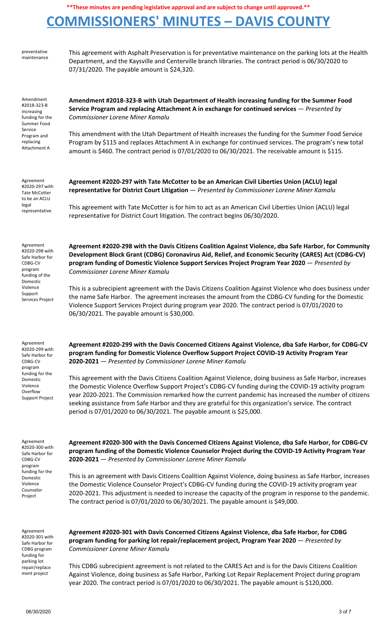# **COMMISSIONERS' MINUTES – DAVIS COUNTY**

preventative maintenance This agreement with Asphalt Preservation is for preventative maintenance on the parking lots at the Health Department, and the Kaysville and Centerville branch libraries. The contract period is 06/30/2020 to 07/31/2020. The payable amount is \$24,320.

Amendment #2018-323-B increasing funding for the Summer Food Service Program and replacing Attachment A

**Amendment #2018-323-B with Utah Department of Health increasing funding for the Summer Food Service Program and replacing Attachment A in exchange for continued services** — *Presented by Commissioner Lorene Miner Kamalu*

This amendment with the Utah Department of Health increases the funding for the Summer Food Service Program by \$115 and replaces Attachment A in exchange for continued services. The program's new total amount is \$460. The contract period is 07/01/2020 to 06/30/2021. The receivable amount is \$115.

Agreement #2020-297 with Tate McCotter to be an ACLU legal representative

**Agreement #2020-297 with Tate McCotter to be an American Civil Liberties Union (ACLU) legal representative for District Court Litigation** — *Presented by Commissioner Lorene Miner Kamalu*

This agreement with Tate McCotter is for him to act as an American Civil Liberties Union (ACLU) legal representative for District Court litigation. The contract begins 06/30/2020.

Agreement #2020-298 with Safe Harbor for CDBG-CV program funding of the Domestic Violence Support Services Project **Agreement #2020-298 with the Davis Citizens Coalition Against Violence, dba Safe Harbor, for Community Development Block Grant (CDBG) Coronavirus Aid, Relief, and Economic Security (CARES) Act (CDBG-CV) program funding of Domestic Violence Support Services Project Program Year 2020** — *Presented by Commissioner Lorene Miner Kamalu*

This is a subrecipient agreement with the Davis Citizens Coalition Against Violence who does business under the name Safe Harbor. The agreement increases the amount from the CDBG-CV funding for the Domestic Violence Support Services Project during program year 2020. The contract period is 07/01/2020 to 06/30/2021. The payable amount is \$30,000.

Agreement #2020-299 with Safe Harbor for CDBG-CV program funding for the Domestic Violence **Overflow** Support Project **Agreement #2020-299 with the Davis Concerned Citizens Against Violence, dba Safe Harbor, for CDBG-CV program funding for Domestic Violence Overflow Support Project COVID-19 Activity Program Year 2020-2021** — *Presented by Commissioner Lorene Miner Kamalu*

This agreement with the Davis Citizens Coalition Against Violence, doing business as Safe Harbor, increases the Domestic Violence Overflow Support Project's CDBG-CV funding during the COVID-19 activity program year 2020-2021. The Commission remarked how the current pandemic has increased the number of citizens seeking assistance from Safe Harbor and they are grateful for this organization's service. The contract period is 07/01/2020 to 06/30/2021. The payable amount is \$25,000.

Agreement #2020-300 with Safe Harbor for CDBG-CV program funding for the Domestic Violence Counselor Project

**Agreement #2020-300 with the Davis Concerned Citizens Against Violence, dba Safe Harbor, for CDBG-CV program funding of the Domestic Violence Counselor Project during the COVID-19 Activity Program Year 2020-2021** — *Presented by Commissioner Lorene Miner Kamalu*

This is an agreement with Davis Citizens Coalition Against Violence, doing business as Safe Harbor, increases the Domestic Violence Counselor Project's CDBG-CV funding during the COVID-19 activity program year 2020-2021. This adjustment is needed to increase the capacity of the program in response to the pandemic. The contract period is 07/01/2020 to 06/30/2021. The payable amount is \$49,000.

Agreement #2020-301 with Safe Harbor for CDBG program funding for parking lot repair/replace ment project

**Agreement #2020-301 with Davis Concerned Citizens Against Violence, dba Safe Harbor, for CDBG program funding for parking lot repair/replacement project, Program Year 2020** — *Presented by Commissioner Lorene Miner Kamalu*

This CDBG subrecipient agreement is not related to the CARES Act and is for the Davis Citizens Coalition Against Violence, doing business as Safe Harbor, Parking Lot Repair Replacement Project during program year 2020. The contract period is 07/01/2020 to 06/30/2021. The payable amount is \$120,000.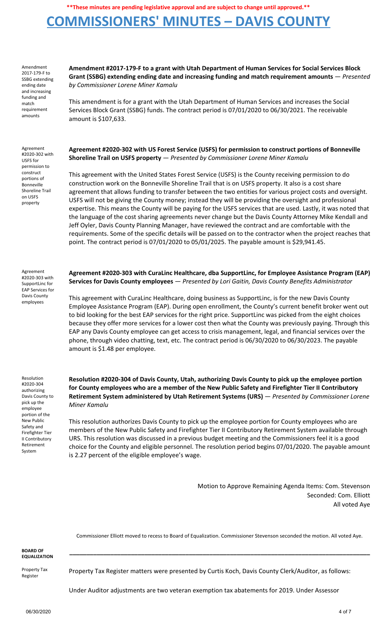## **COMMISSIONERS' MINUTES – DAVIS COUNTY**

Amendment 2017-179-F to SSBG extending ending date and increasing funding and match requirement amounts

Agreement #2020-302 with USFS for permission to construct portions of Bonneville Shoreline Trail on USFS property

**Amendment #2017-179-F to a grant with Utah Department of Human Services for Social Services Block Grant (SSBG) extending ending date and increasing funding and match requirement amounts** — *Presented by Commissioner Lorene Miner Kamalu*

This amendment is for a grant with the Utah Department of Human Services and increases the Social Services Block Grant (SSBG) funds. The contract period is 07/01/2020 to 06/30/2021. The receivable amount is \$107,633.

### **Agreement #2020-302 with US Forest Service (USFS) for permission to construct portions of Bonneville Shoreline Trail on USFS property** — *Presented by Commissioner Lorene Miner Kamalu*

This agreement with the United States Forest Service (USFS) is the County receiving permission to do construction work on the Bonneville Shoreline Trail that is on USFS property. It also is a cost share agreement that allows funding to transfer between the two entities for various project costs and oversight. USFS will not be giving the County money; instead they will be providing the oversight and professional expertise. This means the County will be paying for the USFS services that are used. Lastly, it was noted that the language of the cost sharing agreements never change but the Davis County Attorney Mike Kendall and Jeff Oyler, Davis County Planning Manager, have reviewed the contract and are comfortable with the requirements. Some of the specific details will be passed on to the contractor when the project reaches that point. The contract period is 07/01/2020 to 05/01/2025. The payable amount is \$29,941.45.

Agreement #2020-303 with SupportLinc for EAP Services for Davis County employees

**Agreement #2020-303 with CuraLinc Healthcare, dba SupportLinc, for Employee Assistance Program (EAP) Services for Davis County employees** — *Presented by Lori Gaitin, Davis County Benefits Administrator*

This agreement with CuraLinc Healthcare, doing business as SupportLinc, is for the new Davis County Employee Assistance Program (EAP). During open enrollment, the County's current benefit broker went out to bid looking for the best EAP services for the right price. SupportLinc was picked from the eight choices because they offer more services for a lower cost then what the County was previously paying. Through this EAP any Davis County employee can get access to crisis management, legal, and financial services over the phone, through video chatting, text, etc. The contract period is 06/30/2020 to 06/30/2023. The payable amount is \$1.48 per employee.

Resolution #2020-304 authorizing Davis County to pick up the employee portion of the New Public Safety and Firefighter Tier II Contributory Retirement System

**Resolution #2020-304 of Davis County, Utah, authorizing Davis County to pick up the employee portion for County employees who are a member of the New Public Safety and Firefighter Tier II Contributory Retirement System administered by Utah Retirement Systems (URS)** — *Presented by Commissioner Lorene Miner Kamalu*

This resolution authorizes Davis County to pick up the employee portion for County employees who are members of the New Public Safety and Firefighter Tier II Contributory Retirement System available through URS. This resolution was discussed in a previous budget meeting and the Commissioners feel it is a good choice for the County and eligible personnel. The resolution period begins 07/01/2020. The payable amount is 2.27 percent of the eligible employee's wage.

> Motion to Approve Remaining Agenda Items: Com. Stevenson Seconded: Com. Elliott All voted Aye

Commissioner Elliott moved to recess to Board of Equalization. Commissioner Stevenson seconded the motion. All voted Aye.

**\_\_\_\_\_\_\_\_\_\_\_\_\_\_\_\_\_\_\_\_\_\_\_\_\_\_\_\_\_\_\_\_\_\_\_\_\_\_\_\_\_\_\_\_\_\_\_\_\_\_\_\_\_\_\_\_\_\_\_\_\_\_\_\_\_\_\_\_\_\_\_\_\_\_\_\_\_\_\_\_\_\_\_\_\_\_\_\_**

**BOARD OF EQUALIZATION**

Property Tax Register

Property Tax Register matters were presented by Curtis Koch, Davis County Clerk/Auditor, as follows:

Under Auditor adjustments are two veteran exemption tax abatements for 2019. Under Assessor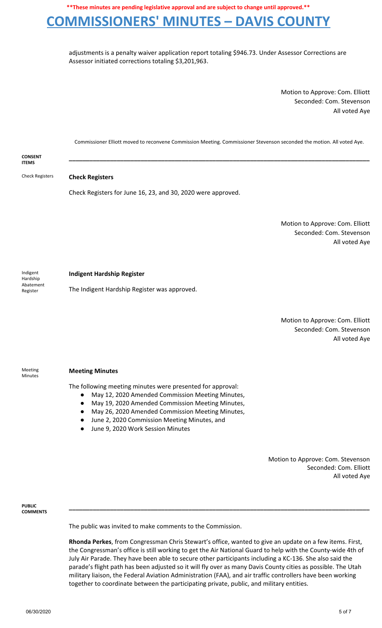## **COMMISSIONERS' MINUTES – DAVIS COUNTY**

adjustments is a penalty waiver application report totaling \$946.73. Under Assessor Corrections are Assessor initiated corrections totaling \$3,201,963.

> Motion to Approve: Com. Elliott Seconded: Com. Stevenson All voted Aye

Commissioner Elliott moved to reconvene Commission Meeting. Commissioner Stevenson seconded the motion. All voted Aye.

#### **CONSENT ITEMS \_\_\_\_\_\_\_\_\_\_\_\_\_\_\_\_\_\_\_\_\_\_\_\_\_\_\_\_\_\_\_\_\_\_\_\_\_\_\_\_\_\_\_\_\_\_\_\_\_\_\_\_\_\_\_\_\_\_\_\_\_\_\_\_\_\_\_\_\_\_\_\_\_\_\_\_\_\_\_\_\_\_\_\_\_\_\_\_**

Check Registers **Check Registers**

Check Registers for June 16, 23, and 30, 2020 were approved.

Motion to Approve: Com. Elliott Seconded: Com. Stevenson All voted Aye

Indigent Hardship Abatement Register

#### **Indigent Hardship Register**

The Indigent Hardship Register was approved.

Motion to Approve: Com. Elliott Seconded: Com. Stevenson All voted Aye

Meeting Minutes

#### **Meeting Minutes**

The following meeting minutes were presented for approval:

- May 12, 2020 Amended Commission Meeting Minutes,
- May 19, 2020 Amended Commission Meeting Minutes,
- May 26, 2020 Amended Commission Meeting Minutes,
- June 2, 2020 Commission Meeting Minutes, and
- June 9, 2020 Work Session Minutes

Motion to Approve: Com. Stevenson Seconded: Com. Elliott All voted Aye

**PUBLIC COMMENTS**

The public was invited to make comments to the Commission.

**Rhonda Perkes**, from Congressman Chris Stewart's office, wanted to give an update on a few items. First, the Congressman's office is still working to get the Air National Guard to help with the County-wide 4th of July Air Parade. They have been able to secure other participants including a KC-136. She also said the parade's flight path has been adjusted so it will fly over as many Davis County cities as possible. The Utah military liaison, the Federal Aviation Administration (FAA), and air traffic controllers have been working together to coordinate between the participating private, public, and military entities.

**\_\_\_\_\_\_\_\_\_\_\_\_\_\_\_\_\_\_\_\_\_\_\_\_\_\_\_\_\_\_\_\_\_\_\_\_\_\_\_\_\_\_\_\_\_\_\_\_\_\_\_\_\_\_\_\_\_\_\_\_\_\_\_\_\_\_\_\_\_\_\_\_\_\_\_\_\_\_\_\_\_\_\_\_\_\_\_\_**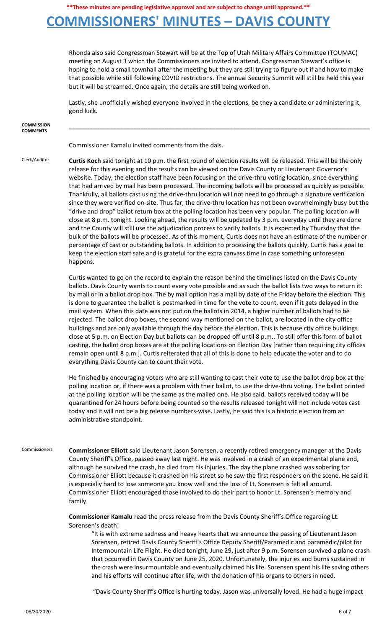# **COMMISSIONERS' MINUTES – DAVIS COUNTY**

Rhonda also said Congressman Stewart will be at the Top of Utah Military Affairs Committee (TOUMAC) meeting on August 3 which the Commissioners are invited to attend. Congressman Stewart's office is hoping to hold a small townhall after the meeting but they are still trying to figure out if and how to make that possible while still following COVID restrictions. The annual Security Summit will still be held this year but it will be streamed. Once again, the details are still being worked on.

Lastly, she unofficially wished everyone involved in the elections, be they a candidate or administering it, good luck.

| <b>COMMISSION</b><br><b>COMMENTS</b> |                                                                                                                                                                                                                                                                                                                                                                                                                                                                                                                                                                                                                                                                                                                                                                                                                                                                                                                                                                                                                                                                                                                                                                                                                                                                                                                                                                                          |
|--------------------------------------|------------------------------------------------------------------------------------------------------------------------------------------------------------------------------------------------------------------------------------------------------------------------------------------------------------------------------------------------------------------------------------------------------------------------------------------------------------------------------------------------------------------------------------------------------------------------------------------------------------------------------------------------------------------------------------------------------------------------------------------------------------------------------------------------------------------------------------------------------------------------------------------------------------------------------------------------------------------------------------------------------------------------------------------------------------------------------------------------------------------------------------------------------------------------------------------------------------------------------------------------------------------------------------------------------------------------------------------------------------------------------------------|
|                                      | Commissioner Kamalu invited comments from the dais.                                                                                                                                                                                                                                                                                                                                                                                                                                                                                                                                                                                                                                                                                                                                                                                                                                                                                                                                                                                                                                                                                                                                                                                                                                                                                                                                      |
| Clerk/Auditor                        | Curtis Koch said tonight at 10 p.m. the first round of election results will be released. This will be the only<br>release for this evening and the results can be viewed on the Davis County or Lieutenant Governor's<br>website. Today, the election staff have been focusing on the drive-thru voting location, since everything<br>that had arrived by mail has been processed. The incoming ballots will be processed as quickly as possible.<br>Thankfully, all ballots cast using the drive-thru location will not need to go through a signature verification<br>since they were verified on-site. Thus far, the drive-thru location has not been overwhelmingly busy but the<br>"drive and drop" ballot return box at the polling location has been very popular. The polling location will<br>close at 8 p.m. tonight. Looking ahead, the results will be updated by 3 p.m. everyday until they are done<br>and the County will still use the adjudication process to verify ballots. It is expected by Thursday that the<br>bulk of the ballots will be processed. As of this moment, Curtis does not have an estimate of the number or<br>percentage of cast or outstanding ballots. In addition to processing the ballots quickly, Curtis has a goal to<br>keep the election staff safe and is grateful for the extra canvass time in case something unforeseen<br>happens. |
|                                      | Curtis wanted to go on the record to explain the reason behind the timelines listed on the Davis County<br>ballots. Davis County wants to count every vote possible and as such the ballot lists two ways to return it:<br>by mail or in a ballot drop box. The by mail option has a mail by date of the Friday before the election. This<br>is done to guarantee the ballot is postmarked in time for the vote to count, even if it gets delayed in the<br>mail system. When this date was not put on the ballots in 2014, a higher number of ballots had to be<br>rejected. The ballot drop boxes, the second way mentioned on the ballot, are located in the city office<br>buildings and are only available through the day before the election. This is because city office buildings<br>close at 5 p.m. on Election Day but ballots can be dropped off until 8 p.m To still offer this form of ballot<br>casting, the ballot drop boxes are at the polling locations on Election Day [rather than requiring city offices<br>remain open until 8 p.m.]. Curtis reiterated that all of this is done to help educate the voter and to do<br>everything Davis County can to count their vote.                                                                                                                                                                                          |
|                                      | He finished by encouraging voters who are still wanting to cast their vote to use the ballot drop box at the<br>polling location or, if there was a problem with their ballot, to use the drive-thru voting. The ballot printed<br>at the polling location will be the same as the mailed one. He also said, ballots received today will be<br>quarantined for 24 hours before being counted so the results released tonight will not include votes cast<br>today and it will not be a big release numbers-wise. Lastly, he said this is a historic election from an<br>administrative standpoint.                                                                                                                                                                                                                                                                                                                                                                                                                                                                                                                                                                                                                                                                                                                                                                                       |
| Commissioners                        | Commissioner Elliott said Lieutenant Jason Sorensen, a recently retired emergency manager at the Davis<br>County Sheriff's Office, passed away last night. He was involved in a crash of an experimental plane and,<br>although he survived the crash, he died from his injuries. The day the plane crashed was sobering for<br>Commissioner Elliott because it crashed on his street so he saw the first responders on the scene. He said it<br>is especially hard to lose someone you know well and the loss of Lt. Sorensen is felt all around.<br>Commissioner Elliott encouraged those involved to do their part to honor Lt. Sorensen's memory and<br>family.                                                                                                                                                                                                                                                                                                                                                                                                                                                                                                                                                                                                                                                                                                                      |
|                                      | Commissioner Kamalu read the press release from the Davis County Sheriff's Office regarding Lt.<br>Sorensen's death:<br>"It is with extreme sadness and heavy hearts that we announce the passing of Lieutenant Jason<br>Sorensen, retired Davis County Sheriff's Office Deputy Sheriff/Paramedic and paramedic/pilot for<br>Intermountain Life Flight. He died tonight, June 29, just after 9 p.m. Sorensen survived a plane crash<br>that occurred in Davis County on June 25, 2020. Unfortunately, the injuries and burns sustained in                                                                                                                                                                                                                                                                                                                                                                                                                                                                                                                                                                                                                                                                                                                                                                                                                                                |

"Davis County Sheriff's Office is hurting today. Jason was universally loved. He had a huge impact

and his efforts will continue after life, with the donation of his organs to others in need.

the crash were insurmountable and eventually claimed his life. Sorensen spent his life saving others